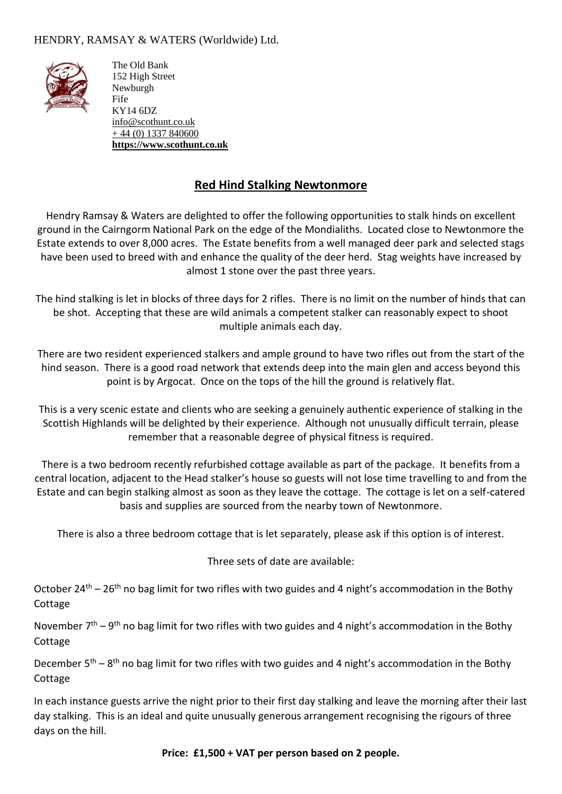#### HENDRY, RAMSAY & WATERS (Worldwide) Ltd.



The Old Bank 152 High Street Newburgh Fife KY14 6DZ [info@scothunt.co.uk](mailto:info@scothunt.co.uk)  $+ 44 (0) 1337 840600$  $+ 44 (0) 1337 840600$ **[https://www.scothunt.co.uk](https://www.scothunt.co.uk/)**

# **Red Hind Stalking Newtonmore**

Hendry Ramsay & Waters are delighted to offer the following opportunities to stalk hinds on excellent ground in the Cairngorm National Park on the edge of the Mondialiths. Located close to Newtonmore the Estate extends to over 8,000 acres. The Estate benefits from a well managed deer park and selected stags have been used to breed with and enhance the quality of the deer herd. Stag weights have increased by almost 1 stone over the past three years.

The hind stalking is let in blocks of three days for 2 rifles. There is no limit on the number of hinds that can be shot. Accepting that these are wild animals a competent stalker can reasonably expect to shoot multiple animals each day.

There are two resident experienced stalkers and ample ground to have two rifles out from the start of the hind season. There is a good road network that extends deep into the main glen and access beyond this point is by Argocat. Once on the tops of the hill the ground is relatively flat.

This is a very scenic estate and clients who are seeking a genuinely authentic experience of stalking in the Scottish Highlands will be delighted by their experience. Although not unusually difficult terrain, please remember that a reasonable degree of physical fitness is required.

There is a two bedroom recently refurbished cottage available as part of the package. It benefits from a central location, adjacent to the Head stalker's house so guests will not lose time travelling to and from the Estate and can begin stalking almost as soon as they leave the cottage. The cottage is let on a self-catered basis and supplies are sourced from the nearby town of Newtonmore.

There is also a three bedroom cottage that is let separately, please ask if this option is of interest.

Three sets of date are available:

October 24<sup>th</sup> – 26<sup>th</sup> no bag limit for two rifles with two guides and 4 night's accommodation in the Bothy Cottage

November  $7<sup>th</sup> - 9<sup>th</sup>$  no bag limit for two rifles with two guides and 4 night's accommodation in the Bothy Cottage

December 5<sup>th</sup> – 8<sup>th</sup> no bag limit for two rifles with two guides and 4 night's accommodation in the Bothy Cottage

In each instance guests arrive the night prior to their first day stalking and leave the morning after their last day stalking. This is an ideal and quite unusually generous arrangement recognising the rigours of three days on the hill.

**Price: £1,500 + VAT per person based on 2 people.**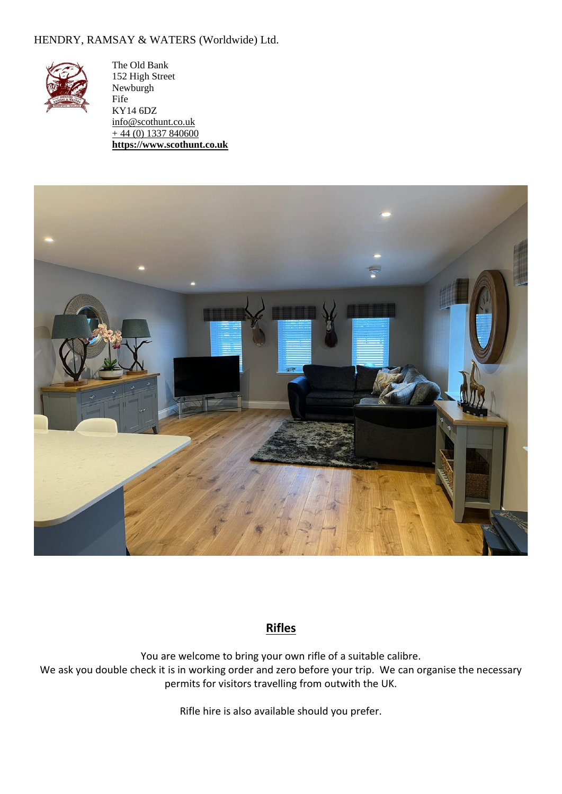#### HENDRY, RAMSAY & WATERS (Worldwide) Ltd.



The Old Bank 152 High Street Newburgh Fife KY14 6DZ [info@scothunt.co.uk](mailto:info@scothunt.co.uk)  $+ 44 (0) 1337 840600$  $+ 44 (0) 1337 840600$ **[https://www.scothunt.co.uk](https://www.scothunt.co.uk/)**



# **Rifles**

You are welcome to bring your own rifle of a suitable calibre. We ask you double check it is in working order and zero before your trip. We can organise the necessary permits for visitors travelling from outwith the UK.

Rifle hire is also available should you prefer.